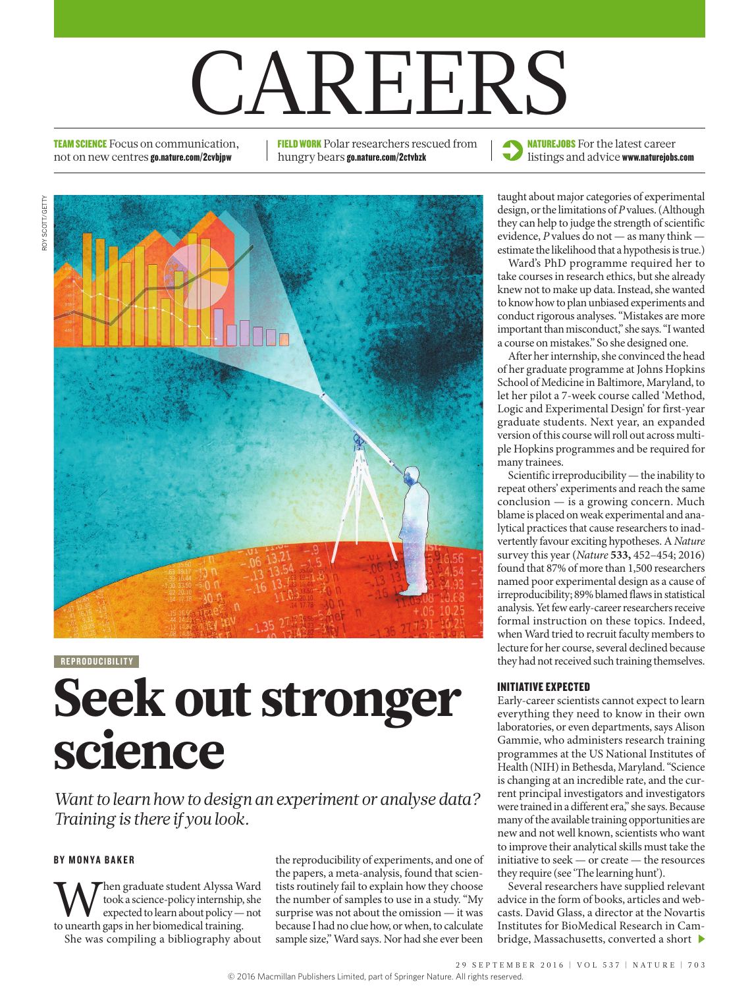# CAREERS

TEAM SCIENCE Focus on communication, not on new centres go.nature.com/2cvbjpw

FIELD WORK Polar researchers rescued from hungry bears go.nature.com/2ctvbzk

ROY SCOTT/GETTY ROY SCOTT/GETTY



REPRODUCIBILITY

# Seek out stronger science

*Want to learn how to design an experiment or analyse data? Training is there if you look.*

# BY MONYA BAKER

When graduate student Alyssa Ward to unearth gaps in her biomedical training. took a science-policy internship, she expected to learn about policy — not She was compiling a bibliography about

the reproducibility of experiments, and one of the papers, a meta-analysis, found that scientists routinely fail to explain how they choose the number of samples to use in a study. "My surprise was not about the omission — it was because I had no clue how, or when, to calculate sample size," Ward says. Nor had she ever been

NATUREJOBS For the latest career listings and advice www.naturejobs.com

taught about major categories of experimental design, or the limitations of *P* values. (Although they can help to judge the strength of scientific evidence, *P* values do not — as many think estimate the likelihood that a hypothesis is true.)

Ward's PhD programme required her to take courses in research ethics, but she already knew not to make up data. Instead, she wanted to know how to plan unbiased experiments and conduct rigorous analyses. "Mistakes are more important than misconduct," she says. "I wanted a course on mistakes." So she designed one.

After her internship, she convinced the head of her graduate programme at Johns Hopkins School of Medicine in Baltimore, Maryland, to let her pilot a 7-week course called 'Method, Logic and Experimental Design' for first-year graduate students. Next year, an expanded version of this course will roll out across multiple Hopkins programmes and be required for many trainees.

Scientific irreproducibility — the inability to repeat others' experiments and reach the same conclusion — is a growing concern. Much blame is placed on weak experimental and analytical practices that cause researchers to inadvertently favour exciting hypotheses. A *Nature* survey this year (*Nature* **533,** 452–454; 2016) found that 87% of more than 1,500 researchers named poor experimental design as a cause of irreproducibility; 89% blamed flaws in statistical analysis. Yet few early-career researchers receive formal instruction on these topics. Indeed, when Ward tried to recruit faculty members to lecture for her course, several declined because they had not received such training themselves.

# INITIATIVE EXPECTED

Early-career scientists cannot expect to learn everything they need to know in their own laboratories, or even departments, says Alison Gammie, who administers research training programmes at the US National Institutes of Health (NIH) in Bethesda, Maryland. "Science is changing at an incredible rate, and the current principal investigators and investigators were trained in a different era," she says. Because many of the available training opportunities are new and not well known, scientists who want to improve their analytical skills must take the initiative to seek — or create — the resources they require (see 'The learning hunt').

Several researchers have supplied relevant advice in the form of books, articles and webcasts. David Glass, a director at the Novartis Institutes for BioMedical Research in Cambridge, Massachusetts, converted a short  $\blacktriangleright$